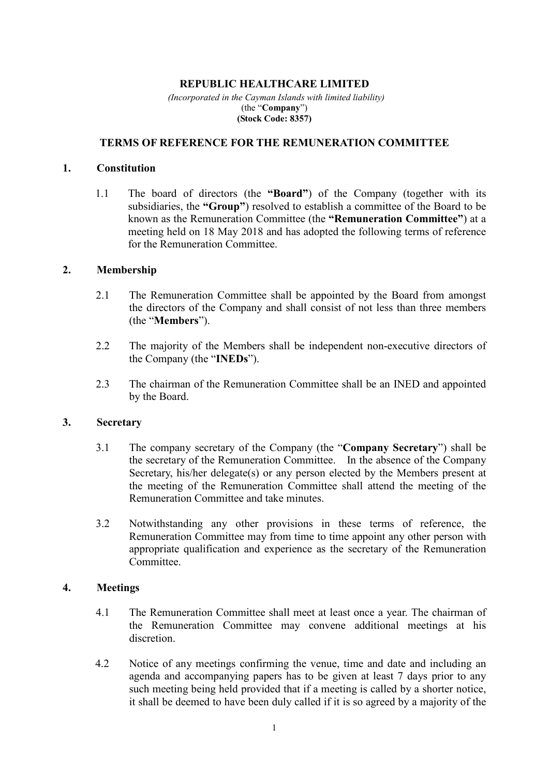### **REPUBLIC HEALTHCARE LIMITED**

 *(Incorporated in the Cayman Islands with limited liability)*  (the "**Company**") **(Stock Code: 8357)**

#### **TERMS OF REFERENCE FOR THE REMUNERATION COMMITTEE**

#### **1. Constitution**

1.1 The board of directors (the **"Board"**) of the Company (together with its subsidiaries, the **"Group"**) resolved to establish a committee of the Board to be known as the Remuneration Committee (the **"Remuneration Committee"**) at a meeting held on 18 May 2018 and has adopted the following terms of reference for the Remuneration Committee.

### **2. Membership**

- 2.1 The Remuneration Committee shall be appointed by the Board from amongst the directors of the Company and shall consist of not less than three members (the "**Members**").
- 2.2 The majority of the Members shall be independent non-executive directors of the Company (the "**INEDs**").
- 2.3 The chairman of the Remuneration Committee shall be an INED and appointed by the Board.

#### **3. Secretary**

- 3.1 The company secretary of the Company (the "**Company Secretary**") shall be the secretary of the Remuneration Committee. In the absence of the Company Secretary, his/her delegate(s) or any person elected by the Members present at the meeting of the Remuneration Committee shall attend the meeting of the Remuneration Committee and take minutes.
- 3.2 Notwithstanding any other provisions in these terms of reference, the Remuneration Committee may from time to time appoint any other person with appropriate qualification and experience as the secretary of the Remuneration Committee.

### **4. Meetings**

- 4.1 The Remuneration Committee shall meet at least once a year. The chairman of the Remuneration Committee may convene additional meetings at his discretion.
- 4.2 Notice of any meetings confirming the venue, time and date and including an agenda and accompanying papers has to be given at least 7 days prior to any such meeting being held provided that if a meeting is called by a shorter notice, it shall be deemed to have been duly called if it is so agreed by a majority of the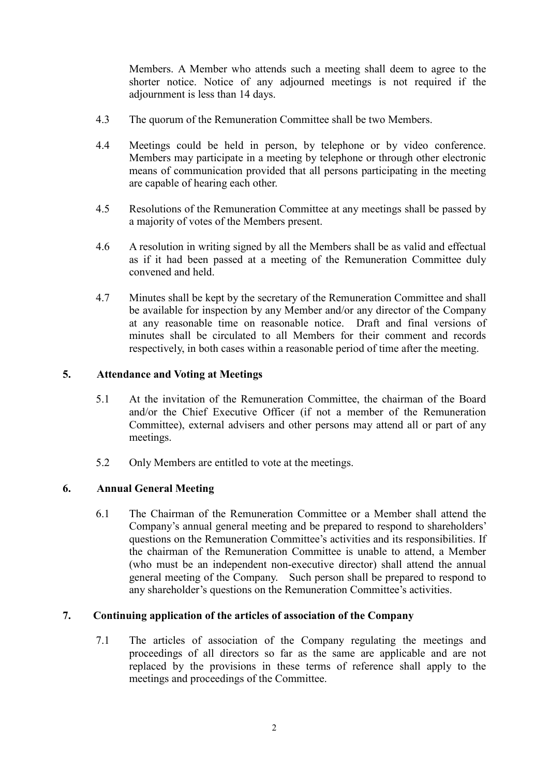Members. A Member who attends such a meeting shall deem to agree to the shorter notice. Notice of any adjourned meetings is not required if the adjournment is less than 14 days.

- 4.3 The quorum of the Remuneration Committee shall be two Members.
- 4.4 Meetings could be held in person, by telephone or by video conference. Members may participate in a meeting by telephone or through other electronic means of communication provided that all persons participating in the meeting are capable of hearing each other.
- 4.5 Resolutions of the Remuneration Committee at any meetings shall be passed by a majority of votes of the Members present.
- 4.6 A resolution in writing signed by all the Members shall be as valid and effectual as if it had been passed at a meeting of the Remuneration Committee duly convened and held.
- 4.7 Minutes shall be kept by the secretary of the Remuneration Committee and shall be available for inspection by any Member and/or any director of the Company at any reasonable time on reasonable notice. Draft and final versions of minutes shall be circulated to all Members for their comment and records respectively, in both cases within a reasonable period of time after the meeting.

## **5. Attendance and Voting at Meetings**

- 5.1 At the invitation of the Remuneration Committee, the chairman of the Board and/or the Chief Executive Officer (if not a member of the Remuneration Committee), external advisers and other persons may attend all or part of any meetings.
- 5.2 Only Members are entitled to vote at the meetings.

# **6. Annual General Meeting**

6.1 The Chairman of the Remuneration Committee or a Member shall attend the Company's annual general meeting and be prepared to respond to shareholders' questions on the Remuneration Committee's activities and its responsibilities. If the chairman of the Remuneration Committee is unable to attend, a Member (who must be an independent non-executive director) shall attend the annual general meeting of the Company. Such person shall be prepared to respond to any shareholder's questions on the Remuneration Committee's activities.

### **7. Continuing application of the articles of association of the Company**

7.1 The articles of association of the Company regulating the meetings and proceedings of all directors so far as the same are applicable and are not replaced by the provisions in these terms of reference shall apply to the meetings and proceedings of the Committee.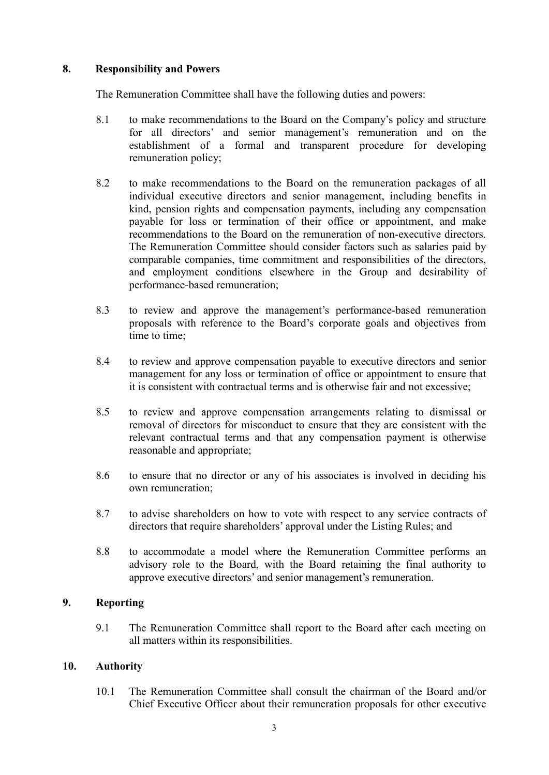## **8. Responsibility and Powers**

The Remuneration Committee shall have the following duties and powers:

- 8.1 to make recommendations to the Board on the Company's policy and structure for all directors' and senior management's remuneration and on the establishment of a formal and transparent procedure for developing remuneration policy;
- 8.2 to make recommendations to the Board on the remuneration packages of all individual executive directors and senior management, including benefits in kind, pension rights and compensation payments, including any compensation payable for loss or termination of their office or appointment, and make recommendations to the Board on the remuneration of non-executive directors. The Remuneration Committee should consider factors such as salaries paid by comparable companies, time commitment and responsibilities of the directors, and employment conditions elsewhere in the Group and desirability of performance-based remuneration;
- 8.3 to review and approve the management's performance-based remuneration proposals with reference to the Board's corporate goals and objectives from time to time;
- 8.4 to review and approve compensation payable to executive directors and senior management for any loss or termination of office or appointment to ensure that it is consistent with contractual terms and is otherwise fair and not excessive;
- 8.5 to review and approve compensation arrangements relating to dismissal or removal of directors for misconduct to ensure that they are consistent with the relevant contractual terms and that any compensation payment is otherwise reasonable and appropriate;
- 8.6 to ensure that no director or any of his associates is involved in deciding his own remuneration;
- 8.7 to advise shareholders on how to vote with respect to any service contracts of directors that require shareholders' approval under the Listing Rules; and
- 8.8 to accommodate a model where the Remuneration Committee performs an advisory role to the Board, with the Board retaining the final authority to approve executive directors' and senior management's remuneration.

# **9. Reporting**

9.1 The Remuneration Committee shall report to the Board after each meeting on all matters within its responsibilities.

### **10. Authority**

10.1 The Remuneration Committee shall consult the chairman of the Board and/or Chief Executive Officer about their remuneration proposals for other executive